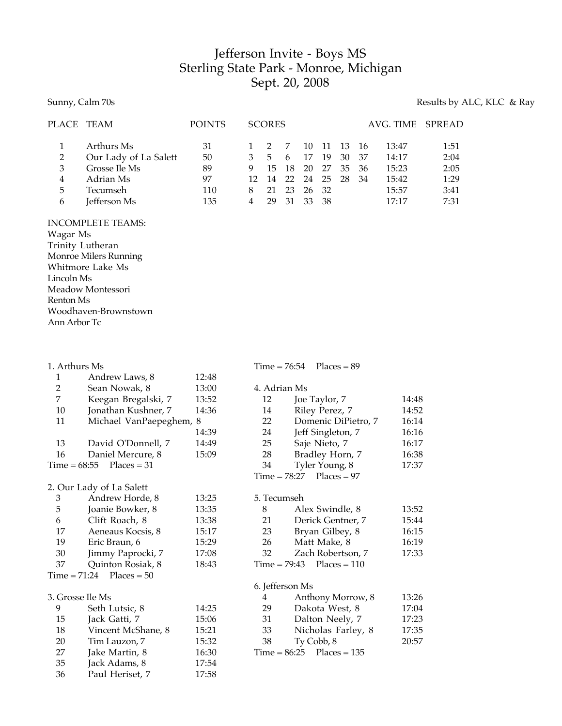# Jefferson Invite - Boys MS Sterling State Park - Monroe, Michigan Sept. 20, 2008

#### Sunny, Calm 70s **Results** by ALC, KLC & Ray

| PLACE TEAM |                       | <b>POINTS</b> |     | <b>SCORES</b> |     |       |       |       |      | AVG. TIME SPREAD |      |
|------------|-----------------------|---------------|-----|---------------|-----|-------|-------|-------|------|------------------|------|
|            | Arthurs Ms            | 31            |     |               |     | 10    | 11 13 |       | - 16 | 13:47            | 1:51 |
| 2          | Our Lady of La Salett | 50            |     | 5.            | 6   | 17    | -19   | 30    | -37  | 14:17            | 2:04 |
| 3          | Grosse Ile Ms         | 89            | 9   | 15            | -18 | 20    | 27    | 35 36 |      | 15:23            | 2:05 |
| 4          | Adrian Ms             | 97            | 12. | 14            | 22  | 24 25 |       | -28   | 34   | 15:42            | 1:29 |
| 5          | Tecumseh              | 110           |     | 21            | 23  | 26 32 |       |       |      | 15:57            | 3:41 |
| 6          | Jefferson Ms          | 135           |     | 29            | 31  | 33    | - 38  |       |      | 17.17            | 7:31 |

INCOMPLETE TEAMS: Wagar Ms Trinity Lutheran Monroe Milers Running Whitmore Lake Ms Lincoln Ms Meadow Montessori Renton Ms Woodhaven-Brownstown Ann Arbor Tc

| 1. Arthurs Ms |                            |       |
|---------------|----------------------------|-------|
| 1             | Andrew Laws, 8             | 12:48 |
| 2             | Sean Nowak, 8              | 13:00 |
| 7             | Keegan Bregalski, 7        | 13:52 |
| 10            | Jonathan Kushner, 7        | 14:36 |
| 11            | Michael VanPaepeghem,      | -8    |
|               |                            | 14:39 |
| 13            | David O'Donnell, 7         | 14:49 |
| 16            | Daniel Mercure, 8          | 15:09 |
|               | $Time = 68:55$ Places = 31 |       |
|               |                            |       |

#### 2. Our Lady of La Salett 3 Andrew Horde, 8 13:25<br>5 Ioanie Bowker, 8 13:35 5 Joanie Bowker, 8 13:35 6 Clift Roach, 8 13:38 17 Aeneaus Kocsis, 8 15:17 19 Eric Braun, 6 15:29 30 Jimmy Paprocki, 7 17:08 37 Quinton Rosiak, 8 18:43  $Time = 71:24$  Places = 50

#### 3. Grosse Ile Ms 9 Seth Lutsic, 8 14:25 15 Jack Gatti, 7 15:06 18 Vincent McShane, 8 15:21 20 Tim Lauzon, 7 15:32 27 **Jake Martin, 8 16:30** 35 Jack Adams, 8 17:54 36 Paul Heriset, 7 17:58

#### 4. Adrian Ms 12 **Joe Taylor, 7** 14:48 14 Riley Perez, 7 14:52 22 Domenic DiPietro, 7 16:14 24 Jeff Singleton, 7 16:16 25 Saje Nieto, 7 16:17<br>28 Bradley Horn, 7 16:38 Bradley Horn, 7 16:38<br>
Tyler Young, 8 17:37 34 Tyler Young, 8

 $Time = 76:54$  Places = 89

## $Time = 78:27$  Places = 97 5. Tecumseh 8 Alex Swindle, 8 13:52 21 Derick Gentner, 7 15:44 23 Bryan Gilbey, 8 16:15 26 Matt Make, 8 16:19<br>22 Zoch Bobertson 7 17:22

| 32. | Zach Robertson, 7             | 17:33 |
|-----|-------------------------------|-------|
|     | Time = $79:43$ Places = $110$ |       |
|     |                               |       |

### 6. Jefferson Ms

| 4  | Anthony Morrow, 8           | 13:26 |
|----|-----------------------------|-------|
| 29 | Dakota West, 8              | 17:04 |
| 31 | Dalton Neely, 7             | 17:23 |
| 33 | Nicholas Farley, 8          | 17:35 |
| 38 | Ty Cobb, 8                  | 20:57 |
|    | $Time = 86:25$ Places = 135 |       |